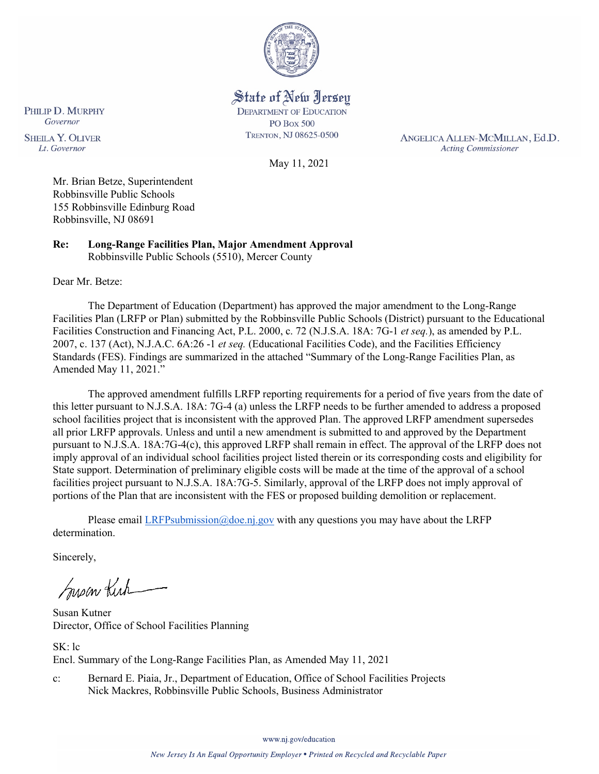

State of New Jersey **DEPARTMENT OF EDUCATION PO Box 500** TRENTON, NJ 08625-0500

May 11, 2021

ANGELICA ALLEN-MCMILLAN, Ed.D. **Acting Commissioner** 

**SHEILA Y. OLIVER** Lt. Governor

PHILIP D. MURPHY Governor

> Mr. Brian Betze, Superintendent Robbinsville Public Schools 155 Robbinsville Edinburg Road Robbinsville, NJ 08691

**Re: Long-Range Facilities Plan, Major Amendment Approval**  Robbinsville Public Schools (5510), Mercer County

Dear Mr. Betze:

The Department of Education (Department) has approved the major amendment to the Long-Range Facilities Plan (LRFP or Plan) submitted by the Robbinsville Public Schools (District) pursuant to the Educational Facilities Construction and Financing Act, P.L. 2000, c. 72 (N.J.S.A. 18A: 7G-1 *et seq.*), as amended by P.L. 2007, c. 137 (Act), N.J.A.C. 6A:26 -1 *et seq.* (Educational Facilities Code), and the Facilities Efficiency Standards (FES). Findings are summarized in the attached "Summary of the Long-Range Facilities Plan, as Amended May 11, 2021."

The approved amendment fulfills LRFP reporting requirements for a period of five years from the date of this letter pursuant to N.J.S.A. 18A: 7G-4 (a) unless the LRFP needs to be further amended to address a proposed school facilities project that is inconsistent with the approved Plan. The approved LRFP amendment supersedes all prior LRFP approvals. Unless and until a new amendment is submitted to and approved by the Department pursuant to N.J.S.A. 18A:7G-4(c), this approved LRFP shall remain in effect. The approval of the LRFP does not imply approval of an individual school facilities project listed therein or its corresponding costs and eligibility for State support. Determination of preliminary eligible costs will be made at the time of the approval of a school facilities project pursuant to N.J.S.A. 18A:7G-5. Similarly, approval of the LRFP does not imply approval of portions of the Plan that are inconsistent with the FES or proposed building demolition or replacement.

Please email [LRFPsubmission@doe.nj.gov](mailto:LRFPsubmission@doe.nj.gov) with any questions you may have about the LRFP determination.

Sincerely,

Susan Kich

Susan Kutner Director, Office of School Facilities Planning

SK: lc Encl. Summary of the Long-Range Facilities Plan, as Amended May 11, 2021

c: Bernard E. Piaia, Jr., Department of Education, Office of School Facilities Projects Nick Mackres, Robbinsville Public Schools, Business Administrator

www.nj.gov/education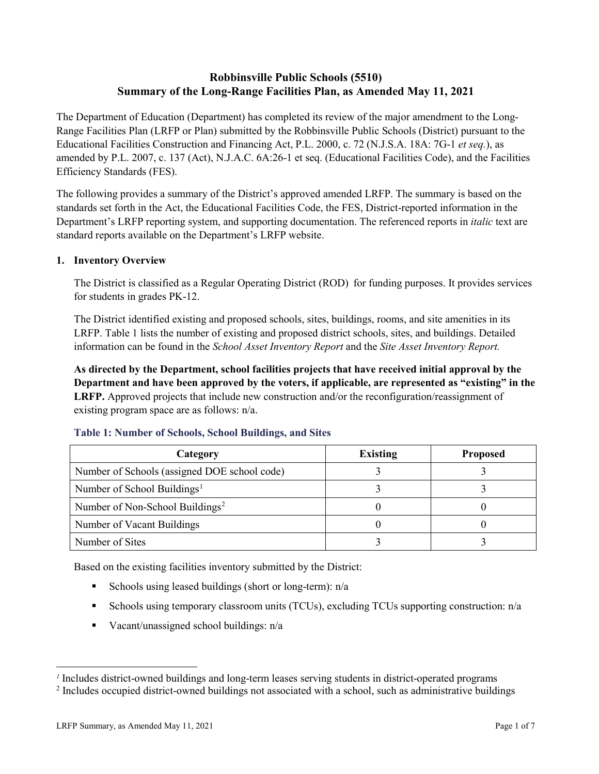# **Robbinsville Public Schools (5510) Summary of the Long-Range Facilities Plan, as Amended May 11, 2021**

The Department of Education (Department) has completed its review of the major amendment to the Long-Range Facilities Plan (LRFP or Plan) submitted by the Robbinsville Public Schools (District) pursuant to the Educational Facilities Construction and Financing Act, P.L. 2000, c. 72 (N.J.S.A. 18A: 7G-1 *et seq.*), as amended by P.L. 2007, c. 137 (Act), N.J.A.C. 6A:26-1 et seq. (Educational Facilities Code), and the Facilities Efficiency Standards (FES).

The following provides a summary of the District's approved amended LRFP. The summary is based on the standards set forth in the Act, the Educational Facilities Code, the FES, District-reported information in the Department's LRFP reporting system, and supporting documentation. The referenced reports in *italic* text are standard reports available on the Department's LRFP website.

#### **1. Inventory Overview**

The District is classified as a Regular Operating District (ROD) for funding purposes. It provides services for students in grades PK-12.

The District identified existing and proposed schools, sites, buildings, rooms, and site amenities in its LRFP. Table 1 lists the number of existing and proposed district schools, sites, and buildings. Detailed information can be found in the *School Asset Inventory Report* and the *Site Asset Inventory Report.*

**As directed by the Department, school facilities projects that have received initial approval by the Department and have been approved by the voters, if applicable, are represented as "existing" in the LRFP.** Approved projects that include new construction and/or the reconfiguration/reassignment of existing program space are as follows: n/a.

| Category                                     | <b>Existing</b> | <b>Proposed</b> |
|----------------------------------------------|-----------------|-----------------|
| Number of Schools (assigned DOE school code) |                 |                 |
| Number of School Buildings <sup>1</sup>      |                 |                 |
| Number of Non-School Buildings <sup>2</sup>  |                 |                 |
| Number of Vacant Buildings                   |                 |                 |
| Number of Sites                              |                 |                 |

#### **Table 1: Number of Schools, School Buildings, and Sites**

Based on the existing facilities inventory submitted by the District:

- Schools using leased buildings (short or long-term):  $n/a$
- Schools using temporary classroom units (TCUs), excluding TCUs supporting construction: n/a
- Vacant/unassigned school buildings:  $n/a$

 $\overline{a}$ 

<span id="page-1-1"></span><span id="page-1-0"></span>*<sup>1</sup>* Includes district-owned buildings and long-term leases serving students in district-operated programs

<sup>&</sup>lt;sup>2</sup> Includes occupied district-owned buildings not associated with a school, such as administrative buildings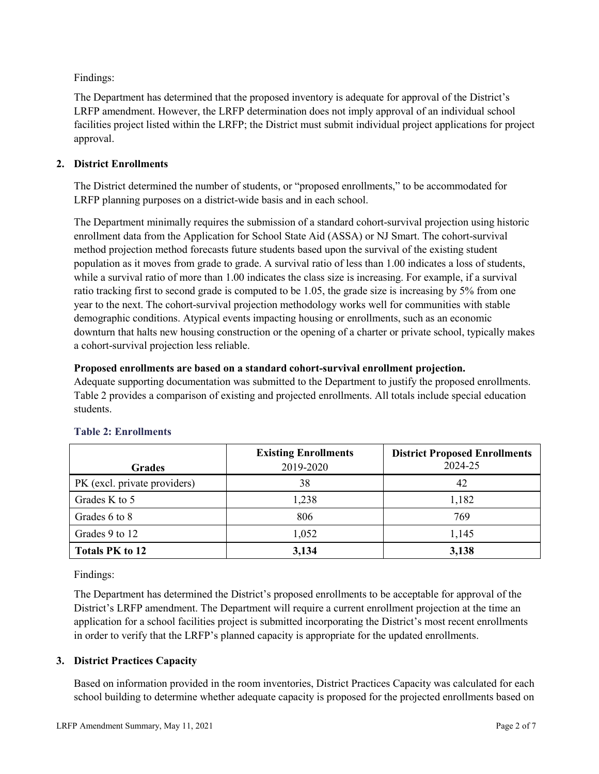Findings:

The Department has determined that the proposed inventory is adequate for approval of the District's LRFP amendment. However, the LRFP determination does not imply approval of an individual school facilities project listed within the LRFP; the District must submit individual project applications for project approval.

# **2. District Enrollments**

The District determined the number of students, or "proposed enrollments," to be accommodated for LRFP planning purposes on a district-wide basis and in each school.

The Department minimally requires the submission of a standard cohort-survival projection using historic enrollment data from the Application for School State Aid (ASSA) or NJ Smart. The cohort-survival method projection method forecasts future students based upon the survival of the existing student population as it moves from grade to grade. A survival ratio of less than 1.00 indicates a loss of students, while a survival ratio of more than 1.00 indicates the class size is increasing. For example, if a survival ratio tracking first to second grade is computed to be 1.05, the grade size is increasing by 5% from one year to the next. The cohort-survival projection methodology works well for communities with stable demographic conditions. Atypical events impacting housing or enrollments, such as an economic downturn that halts new housing construction or the opening of a charter or private school, typically makes a cohort-survival projection less reliable.

#### **Proposed enrollments are based on a standard cohort-survival enrollment projection.**

Adequate supporting documentation was submitted to the Department to justify the proposed enrollments. Table 2 provides a comparison of existing and projected enrollments. All totals include special education students.

|                              | <b>Existing Enrollments</b> | <b>District Proposed Enrollments</b> |
|------------------------------|-----------------------------|--------------------------------------|
| <b>Grades</b>                | 2019-2020                   | 2024-25                              |
| PK (excl. private providers) | 38                          | 42                                   |
| Grades K to 5                | 1,238                       | 1,182                                |
| Grades 6 to 8                | 806                         | 769                                  |
| Grades 9 to 12               | 1,052                       | 1,145                                |
| <b>Totals PK to 12</b>       | 3,134                       | 3,138                                |

# **Table 2: Enrollments**

Findings:

The Department has determined the District's proposed enrollments to be acceptable for approval of the District's LRFP amendment. The Department will require a current enrollment projection at the time an application for a school facilities project is submitted incorporating the District's most recent enrollments in order to verify that the LRFP's planned capacity is appropriate for the updated enrollments.

# **3. District Practices Capacity**

Based on information provided in the room inventories, District Practices Capacity was calculated for each school building to determine whether adequate capacity is proposed for the projected enrollments based on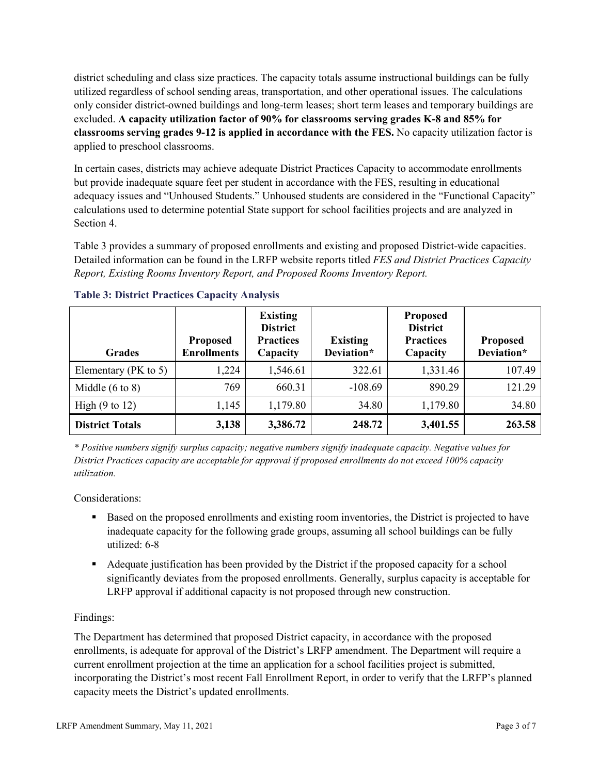district scheduling and class size practices. The capacity totals assume instructional buildings can be fully utilized regardless of school sending areas, transportation, and other operational issues. The calculations only consider district-owned buildings and long-term leases; short term leases and temporary buildings are excluded. **A capacity utilization factor of 90% for classrooms serving grades K-8 and 85% for classrooms serving grades 9-12 is applied in accordance with the FES.** No capacity utilization factor is applied to preschool classrooms.

In certain cases, districts may achieve adequate District Practices Capacity to accommodate enrollments but provide inadequate square feet per student in accordance with the FES, resulting in educational adequacy issues and "Unhoused Students." Unhoused students are considered in the "Functional Capacity" calculations used to determine potential State support for school facilities projects and are analyzed in Section 4.

Table 3 provides a summary of proposed enrollments and existing and proposed District-wide capacities. Detailed information can be found in the LRFP website reports titled *FES and District Practices Capacity Report, Existing Rooms Inventory Report, and Proposed Rooms Inventory Report.*

| <b>Grades</b>              | <b>Proposed</b><br><b>Enrollments</b> | <b>Existing</b><br><b>District</b><br><b>Practices</b><br>Capacity | <b>Existing</b><br>Deviation* | <b>Proposed</b><br><b>District</b><br><b>Practices</b><br>Capacity | <b>Proposed</b><br>Deviation* |
|----------------------------|---------------------------------------|--------------------------------------------------------------------|-------------------------------|--------------------------------------------------------------------|-------------------------------|
| Elementary ( $PK$ to 5)    | 1,224                                 | 1,546.61                                                           | 322.61                        | 1,331.46                                                           | 107.49                        |
| Middle $(6 \text{ to } 8)$ | 769                                   | 660.31                                                             | $-108.69$                     | 890.29                                                             | 121.29                        |
| High $(9 \text{ to } 12)$  | 1,145                                 | 1,179.80                                                           | 34.80                         | 1,179.80                                                           | 34.80                         |
| <b>District Totals</b>     | 3,138                                 | 3,386.72                                                           | 248.72                        | 3,401.55                                                           | 263.58                        |

# **Table 3: District Practices Capacity Analysis**

*\* Positive numbers signify surplus capacity; negative numbers signify inadequate capacity. Negative values for District Practices capacity are acceptable for approval if proposed enrollments do not exceed 100% capacity utilization.*

Considerations:

- Based on the proposed enrollments and existing room inventories, the District is projected to have inadequate capacity for the following grade groups, assuming all school buildings can be fully utilized: 6-8
- Adequate justification has been provided by the District if the proposed capacity for a school significantly deviates from the proposed enrollments. Generally, surplus capacity is acceptable for LRFP approval if additional capacity is not proposed through new construction.

# Findings:

The Department has determined that proposed District capacity, in accordance with the proposed enrollments, is adequate for approval of the District's LRFP amendment. The Department will require a current enrollment projection at the time an application for a school facilities project is submitted, incorporating the District's most recent Fall Enrollment Report, in order to verify that the LRFP's planned capacity meets the District's updated enrollments.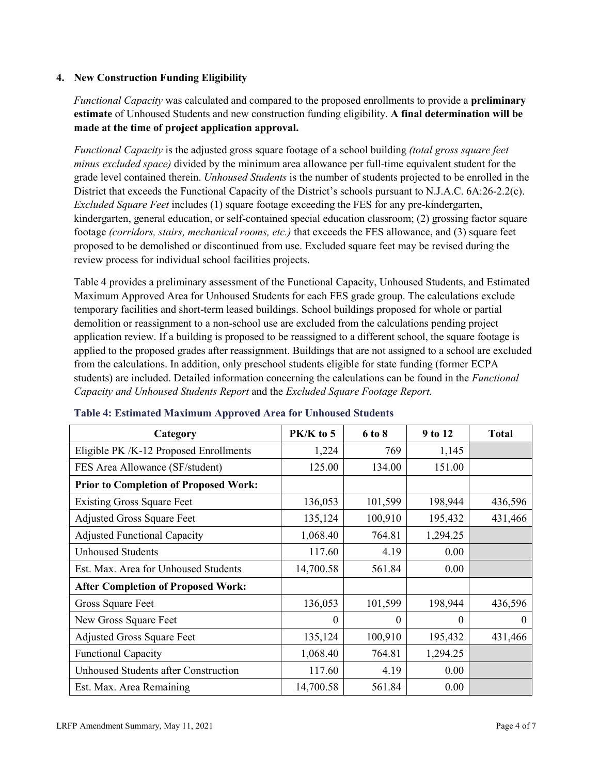# **4. New Construction Funding Eligibility**

*Functional Capacity* was calculated and compared to the proposed enrollments to provide a **preliminary estimate** of Unhoused Students and new construction funding eligibility. **A final determination will be made at the time of project application approval.**

*Functional Capacity* is the adjusted gross square footage of a school building *(total gross square feet minus excluded space)* divided by the minimum area allowance per full-time equivalent student for the grade level contained therein. *Unhoused Students* is the number of students projected to be enrolled in the District that exceeds the Functional Capacity of the District's schools pursuant to N.J.A.C. 6A:26-2.2(c). *Excluded Square Feet* includes (1) square footage exceeding the FES for any pre-kindergarten, kindergarten, general education, or self-contained special education classroom; (2) grossing factor square footage *(corridors, stairs, mechanical rooms, etc.)* that exceeds the FES allowance, and (3) square feet proposed to be demolished or discontinued from use. Excluded square feet may be revised during the review process for individual school facilities projects.

Table 4 provides a preliminary assessment of the Functional Capacity, Unhoused Students, and Estimated Maximum Approved Area for Unhoused Students for each FES grade group. The calculations exclude temporary facilities and short-term leased buildings. School buildings proposed for whole or partial demolition or reassignment to a non-school use are excluded from the calculations pending project application review. If a building is proposed to be reassigned to a different school, the square footage is applied to the proposed grades after reassignment. Buildings that are not assigned to a school are excluded from the calculations. In addition, only preschool students eligible for state funding (former ECPA students) are included. Detailed information concerning the calculations can be found in the *Functional Capacity and Unhoused Students Report* and the *Excluded Square Footage Report.*

| Category                                     | $PK/K$ to 5 | 6 to 8  | 9 to 12  | <b>Total</b> |
|----------------------------------------------|-------------|---------|----------|--------------|
| Eligible PK /K-12 Proposed Enrollments       | 1,224       | 769     | 1,145    |              |
| FES Area Allowance (SF/student)              | 125.00      | 134.00  | 151.00   |              |
| <b>Prior to Completion of Proposed Work:</b> |             |         |          |              |
| <b>Existing Gross Square Feet</b>            | 136,053     | 101,599 | 198,944  | 436,596      |
| <b>Adjusted Gross Square Feet</b>            | 135,124     | 100,910 | 195,432  | 431,466      |
| <b>Adjusted Functional Capacity</b>          | 1,068.40    | 764.81  | 1,294.25 |              |
| <b>Unhoused Students</b>                     | 117.60      | 4.19    | 0.00     |              |
| Est. Max. Area for Unhoused Students         | 14,700.58   | 561.84  | 0.00     |              |
| <b>After Completion of Proposed Work:</b>    |             |         |          |              |
| Gross Square Feet                            | 136,053     | 101,599 | 198,944  | 436,596      |
| New Gross Square Feet                        | $\theta$    | 0       | $\theta$ | $\theta$     |
| <b>Adjusted Gross Square Feet</b>            | 135,124     | 100,910 | 195,432  | 431,466      |
| <b>Functional Capacity</b>                   | 1,068.40    | 764.81  | 1,294.25 |              |
| Unhoused Students after Construction         | 117.60      | 4.19    | 0.00     |              |
| Est. Max. Area Remaining                     | 14,700.58   | 561.84  | 0.00     |              |

#### **Table 4: Estimated Maximum Approved Area for Unhoused Students**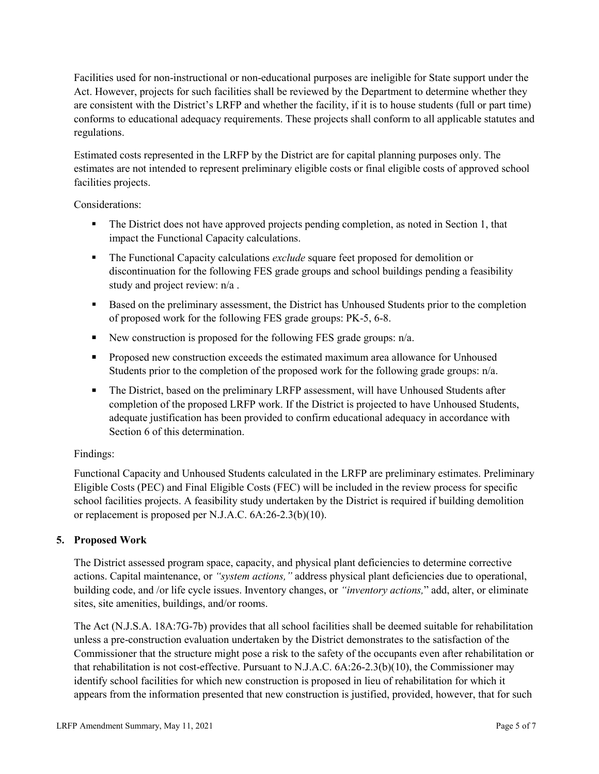Facilities used for non-instructional or non-educational purposes are ineligible for State support under the Act. However, projects for such facilities shall be reviewed by the Department to determine whether they are consistent with the District's LRFP and whether the facility, if it is to house students (full or part time) conforms to educational adequacy requirements. These projects shall conform to all applicable statutes and regulations.

Estimated costs represented in the LRFP by the District are for capital planning purposes only. The estimates are not intended to represent preliminary eligible costs or final eligible costs of approved school facilities projects.

Considerations:

- The District does not have approved projects pending completion, as noted in Section 1, that impact the Functional Capacity calculations.
- **The Functional Capacity calculations** *exclude* square feet proposed for demolition or discontinuation for the following FES grade groups and school buildings pending a feasibility study and project review: n/a .
- **Based on the preliminary assessment, the District has Unhoused Students prior to the completion** of proposed work for the following FES grade groups: PK-5, 6-8.
- New construction is proposed for the following FES grade groups: n/a.
- Proposed new construction exceeds the estimated maximum area allowance for Unhoused Students prior to the completion of the proposed work for the following grade groups: n/a.
- The District, based on the preliminary LRFP assessment, will have Unhoused Students after completion of the proposed LRFP work. If the District is projected to have Unhoused Students, adequate justification has been provided to confirm educational adequacy in accordance with Section 6 of this determination.

# Findings:

Functional Capacity and Unhoused Students calculated in the LRFP are preliminary estimates. Preliminary Eligible Costs (PEC) and Final Eligible Costs (FEC) will be included in the review process for specific school facilities projects. A feasibility study undertaken by the District is required if building demolition or replacement is proposed per N.J.A.C. 6A:26-2.3(b)(10).

# **5. Proposed Work**

The District assessed program space, capacity, and physical plant deficiencies to determine corrective actions. Capital maintenance, or *"system actions,"* address physical plant deficiencies due to operational, building code, and /or life cycle issues. Inventory changes, or *"inventory actions,*" add, alter, or eliminate sites, site amenities, buildings, and/or rooms.

The Act (N.J.S.A. 18A:7G-7b) provides that all school facilities shall be deemed suitable for rehabilitation unless a pre-construction evaluation undertaken by the District demonstrates to the satisfaction of the Commissioner that the structure might pose a risk to the safety of the occupants even after rehabilitation or that rehabilitation is not cost-effective. Pursuant to N.J.A.C. 6A:26-2.3(b)(10), the Commissioner may identify school facilities for which new construction is proposed in lieu of rehabilitation for which it appears from the information presented that new construction is justified, provided, however, that for such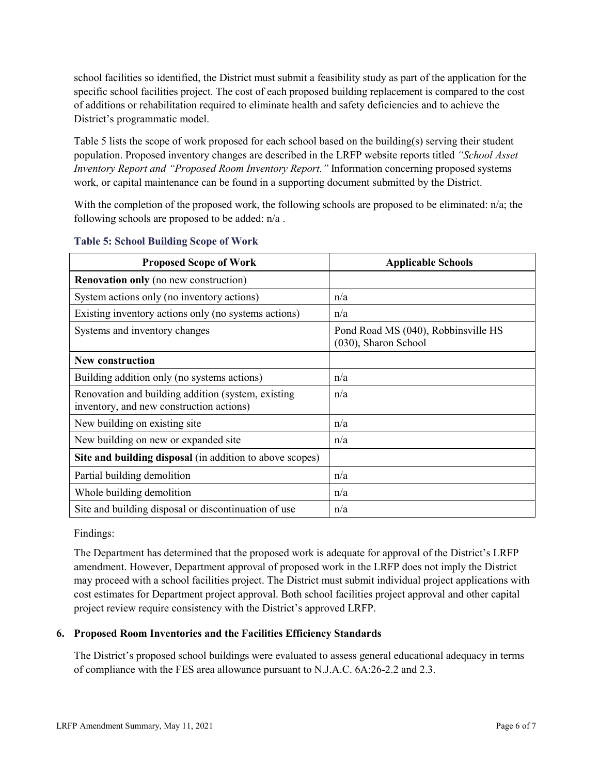school facilities so identified, the District must submit a feasibility study as part of the application for the specific school facilities project. The cost of each proposed building replacement is compared to the cost of additions or rehabilitation required to eliminate health and safety deficiencies and to achieve the District's programmatic model.

Table 5 lists the scope of work proposed for each school based on the building(s) serving their student population. Proposed inventory changes are described in the LRFP website reports titled *"School Asset Inventory Report and "Proposed Room Inventory Report."* Information concerning proposed systems work, or capital maintenance can be found in a supporting document submitted by the District.

With the completion of the proposed work, the following schools are proposed to be eliminated:  $n/a$ ; the following schools are proposed to be added: n/a .

| <b>Proposed Scope of Work</b>                                                                  | <b>Applicable Schools</b>                                   |
|------------------------------------------------------------------------------------------------|-------------------------------------------------------------|
| <b>Renovation only</b> (no new construction)                                                   |                                                             |
| System actions only (no inventory actions)                                                     | n/a                                                         |
| Existing inventory actions only (no systems actions)                                           | n/a                                                         |
| Systems and inventory changes                                                                  | Pond Road MS (040), Robbinsville HS<br>(030), Sharon School |
| <b>New construction</b>                                                                        |                                                             |
| Building addition only (no systems actions)                                                    | n/a                                                         |
| Renovation and building addition (system, existing<br>inventory, and new construction actions) | n/a                                                         |
| New building on existing site                                                                  | n/a                                                         |
| New building on new or expanded site                                                           | n/a                                                         |
| Site and building disposal (in addition to above scopes)                                       |                                                             |
| Partial building demolition                                                                    | n/a                                                         |
| Whole building demolition                                                                      | n/a                                                         |
| Site and building disposal or discontinuation of use                                           | n/a                                                         |

|  | <b>Table 5: School Building Scope of Work</b> |
|--|-----------------------------------------------|
|--|-----------------------------------------------|

Findings:

The Department has determined that the proposed work is adequate for approval of the District's LRFP amendment. However, Department approval of proposed work in the LRFP does not imply the District may proceed with a school facilities project. The District must submit individual project applications with cost estimates for Department project approval. Both school facilities project approval and other capital project review require consistency with the District's approved LRFP.

# **6. Proposed Room Inventories and the Facilities Efficiency Standards**

The District's proposed school buildings were evaluated to assess general educational adequacy in terms of compliance with the FES area allowance pursuant to N.J.A.C. 6A:26-2.2 and 2.3.